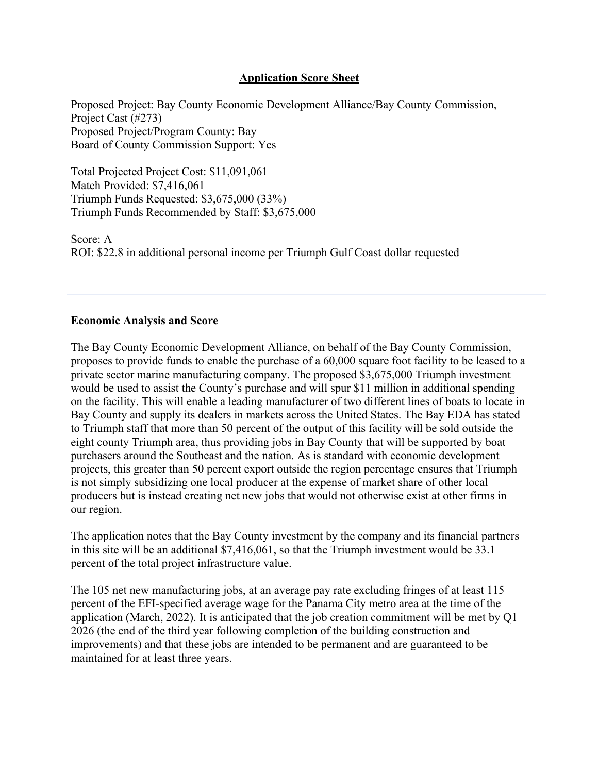## **Application Score Sheet**

Proposed Project: Bay County Economic Development Alliance/Bay County Commission, Project Cast (#273) Proposed Project/Program County: Bay Board of County Commission Support: Yes

Total Projected Project Cost: \$11,091,061 Match Provided: \$7,416,061 Triumph Funds Requested: \$3,675,000 (33%) Triumph Funds Recommended by Staff: \$3,675,000

Score: A ROI: \$22.8 in additional personal income per Triumph Gulf Coast dollar requested

## **Economic Analysis and Score**

The Bay County Economic Development Alliance, on behalf of the Bay County Commission, proposes to provide funds to enable the purchase of a 60,000 square foot facility to be leased to a private sector marine manufacturing company. The proposed \$3,675,000 Triumph investment would be used to assist the County's purchase and will spur \$11 million in additional spending on the facility. This will enable a leading manufacturer of two different lines of boats to locate in Bay County and supply its dealers in markets across the United States. The Bay EDA has stated to Triumph staff that more than 50 percent of the output of this facility will be sold outside the eight county Triumph area, thus providing jobs in Bay County that will be supported by boat purchasers around the Southeast and the nation. As is standard with economic development projects, this greater than 50 percent export outside the region percentage ensures that Triumph is not simply subsidizing one local producer at the expense of market share of other local producers but is instead creating net new jobs that would not otherwise exist at other firms in our region.

The application notes that the Bay County investment by the company and its financial partners in this site will be an additional \$7,416,061, so that the Triumph investment would be 33.1 percent of the total project infrastructure value.

The 105 net new manufacturing jobs, at an average pay rate excluding fringes of at least 115 percent of the EFI-specified average wage for the Panama City metro area at the time of the application (March, 2022). It is anticipated that the job creation commitment will be met by Q1 2026 (the end of the third year following completion of the building construction and improvements) and that these jobs are intended to be permanent and are guaranteed to be maintained for at least three years.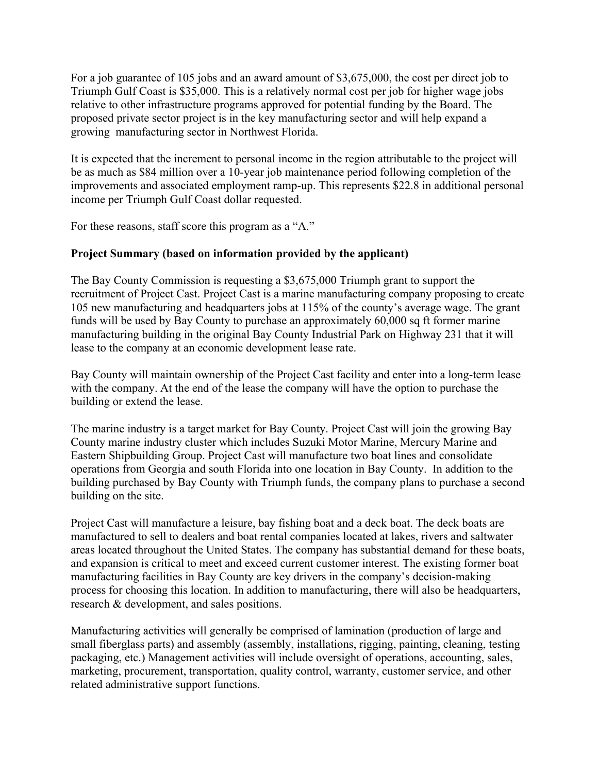For a job guarantee of 105 jobs and an award amount of \$3,675,000, the cost per direct job to Triumph Gulf Coast is \$35,000. This is a relatively normal cost per job for higher wage jobs relative to other infrastructure programs approved for potential funding by the Board. The proposed private sector project is in the key manufacturing sector and will help expand a growing manufacturing sector in Northwest Florida.

It is expected that the increment to personal income in the region attributable to the project will be as much as \$84 million over a 10-year job maintenance period following completion of the improvements and associated employment ramp-up. This represents \$22.8 in additional personal income per Triumph Gulf Coast dollar requested.

For these reasons, staff score this program as a "A."

## **Project Summary (based on information provided by the applicant)**

The Bay County Commission is requesting a \$3,675,000 Triumph grant to support the recruitment of Project Cast. Project Cast is a marine manufacturing company proposing to create 105 new manufacturing and headquarters jobs at 115% of the county's average wage. The grant funds will be used by Bay County to purchase an approximately 60,000 sq ft former marine manufacturing building in the original Bay County Industrial Park on Highway 231 that it will lease to the company at an economic development lease rate.

Bay County will maintain ownership of the Project Cast facility and enter into a long-term lease with the company. At the end of the lease the company will have the option to purchase the building or extend the lease.

The marine industry is a target market for Bay County. Project Cast will join the growing Bay County marine industry cluster which includes Suzuki Motor Marine, Mercury Marine and Eastern Shipbuilding Group. Project Cast will manufacture two boat lines and consolidate operations from Georgia and south Florida into one location in Bay County. In addition to the building purchased by Bay County with Triumph funds, the company plans to purchase a second building on the site.

Project Cast will manufacture a leisure, bay fishing boat and a deck boat. The deck boats are manufactured to sell to dealers and boat rental companies located at lakes, rivers and saltwater areas located throughout the United States. The company has substantial demand for these boats, and expansion is critical to meet and exceed current customer interest. The existing former boat manufacturing facilities in Bay County are key drivers in the company's decision-making process for choosing this location. In addition to manufacturing, there will also be headquarters, research & development, and sales positions.

Manufacturing activities will generally be comprised of lamination (production of large and small fiberglass parts) and assembly (assembly, installations, rigging, painting, cleaning, testing packaging, etc.) Management activities will include oversight of operations, accounting, sales, marketing, procurement, transportation, quality control, warranty, customer service, and other related administrative support functions.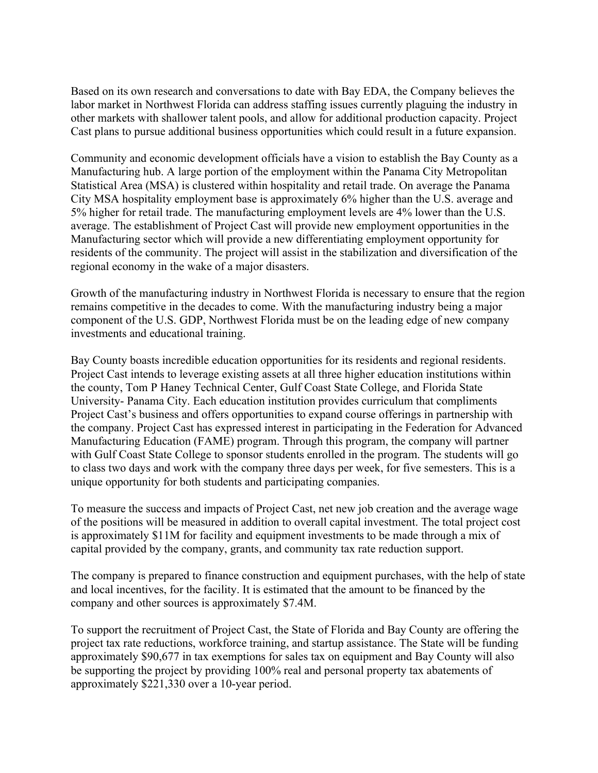Based on its own research and conversations to date with Bay EDA, the Company believes the labor market in Northwest Florida can address staffing issues currently plaguing the industry in other markets with shallower talent pools, and allow for additional production capacity. Project Cast plans to pursue additional business opportunities which could result in a future expansion.

Community and economic development officials have a vision to establish the Bay County as a Manufacturing hub. A large portion of the employment within the Panama City Metropolitan Statistical Area (MSA) is clustered within hospitality and retail trade. On average the Panama City MSA hospitality employment base is approximately 6% higher than the U.S. average and 5% higher for retail trade. The manufacturing employment levels are 4% lower than the U.S. average. The establishment of Project Cast will provide new employment opportunities in the Manufacturing sector which will provide a new differentiating employment opportunity for residents of the community. The project will assist in the stabilization and diversification of the regional economy in the wake of a major disasters.

Growth of the manufacturing industry in Northwest Florida is necessary to ensure that the region remains competitive in the decades to come. With the manufacturing industry being a major component of the U.S. GDP, Northwest Florida must be on the leading edge of new company investments and educational training.

Bay County boasts incredible education opportunities for its residents and regional residents. Project Cast intends to leverage existing assets at all three higher education institutions within the county, Tom P Haney Technical Center, Gulf Coast State College, and Florida State University- Panama City. Each education institution provides curriculum that compliments Project Cast's business and offers opportunities to expand course offerings in partnership with the company. Project Cast has expressed interest in participating in the Federation for Advanced Manufacturing Education (FAME) program. Through this program, the company will partner with Gulf Coast State College to sponsor students enrolled in the program. The students will go to class two days and work with the company three days per week, for five semesters. This is a unique opportunity for both students and participating companies.

To measure the success and impacts of Project Cast, net new job creation and the average wage of the positions will be measured in addition to overall capital investment. The total project cost is approximately \$11M for facility and equipment investments to be made through a mix of capital provided by the company, grants, and community tax rate reduction support.

The company is prepared to finance construction and equipment purchases, with the help of state and local incentives, for the facility. It is estimated that the amount to be financed by the company and other sources is approximately \$7.4M.

To support the recruitment of Project Cast, the State of Florida and Bay County are offering the project tax rate reductions, workforce training, and startup assistance. The State will be funding approximately \$90,677 in tax exemptions for sales tax on equipment and Bay County will also be supporting the project by providing 100% real and personal property tax abatements of approximately \$221,330 over a 10-year period.